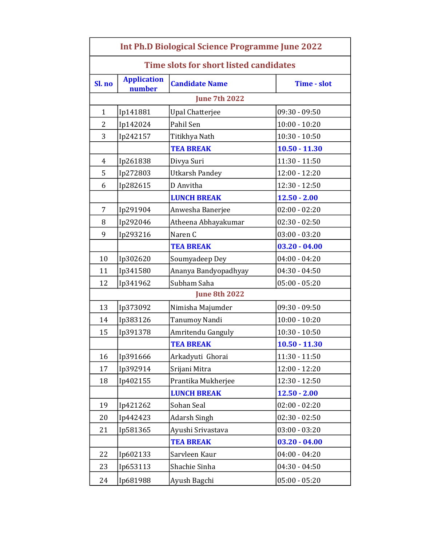| <b>Int Ph.D Biological Science Programme June 2022</b> |                              |                        |                    |  |
|--------------------------------------------------------|------------------------------|------------------------|--------------------|--|
| <b>Time slots for short listed candidates</b>          |                              |                        |                    |  |
| Sl. no                                                 | <b>Application</b><br>number | <b>Candidate Name</b>  | <b>Time - slot</b> |  |
| <b>June 7th 2022</b>                                   |                              |                        |                    |  |
| $\mathbf{1}$                                           | Ip141881                     | <b>Upal Chatterjee</b> | $09:30 - 09:50$    |  |
| $\overline{2}$                                         | Ip142024                     | Pahil Sen              | $10:00 - 10:20$    |  |
| 3                                                      | Ip242157                     | Titikhya Nath          | $10:30 - 10:50$    |  |
|                                                        |                              | <b>TEA BREAK</b>       | $10.50 - 11.30$    |  |
| $\overline{4}$                                         | Ip261838                     | Divya Suri             | $11:30 - 11:50$    |  |
| 5                                                      | Ip272803                     | <b>Utkarsh Pandey</b>  | $12:00 - 12:20$    |  |
| 6                                                      | Ip282615                     | D Anvitha              | $12:30 - 12:50$    |  |
|                                                        |                              | <b>LUNCH BREAK</b>     | $12.50 - 2.00$     |  |
| 7                                                      | Ip291904                     | Anwesha Banerjee       | $02:00 - 02:20$    |  |
| 8                                                      | Ip292046                     | Atheena Abhayakumar    | $02:30 - 02:50$    |  |
| 9                                                      | Ip293216                     | Naren C                | $03:00 - 03:20$    |  |
|                                                        |                              | <b>TEA BREAK</b>       | $03.20 - 04.00$    |  |
| 10                                                     | Ip302620                     | Soumyadeep Dey         | $04:00 - 04:20$    |  |
| 11                                                     | Ip341580                     | Ananya Bandyopadhyay   | $04:30 - 04:50$    |  |
| 12                                                     | Ip341962                     | Subham Saha            | $05:00 - 05:20$    |  |
| <b>June 8th 2022</b>                                   |                              |                        |                    |  |
| 13                                                     | Ip373092                     | Nimisha Majumder       | $09:30 - 09:50$    |  |
| 14                                                     | Ip383126                     | Tanumoy Nandi          | $10:00 - 10:20$    |  |
| 15                                                     | Ip391378                     | Amritendu Ganguly      | $10:30 - 10:50$    |  |
|                                                        |                              | <b>TEA BREAK</b>       | $10.50 - 11.30$    |  |
| 16                                                     | Ip391666                     | Arkadyuti Ghorai       | $11:30 - 11:50$    |  |
| 17                                                     | Ip392914                     | Srijani Mitra          | $12:00 - 12:20$    |  |
| 18                                                     | Ip402155                     | Prantika Mukherjee     | 12:30 - 12:50      |  |
|                                                        |                              | <b>LUNCH BREAK</b>     | $12.50 - 2.00$     |  |
| 19                                                     | Ip421262                     | Sohan Seal             | $02:00 - 02:20$    |  |
| 20                                                     | Ip442423                     | Adarsh Singh           | $02:30 - 02:50$    |  |
| 21                                                     | Ip581365                     | Ayushi Srivastava      | $03:00 - 03:20$    |  |
|                                                        |                              | <b>TEA BREAK</b>       | $03.20 - 04.00$    |  |
| 22                                                     | Ip602133                     | Sarvleen Kaur          | $04:00 - 04:20$    |  |
| 23                                                     | Ip653113                     | Shachie Sinha          | $04:30 - 04:50$    |  |
| 24                                                     | Ip681988                     | Ayush Bagchi           | $05:00 - 05:20$    |  |